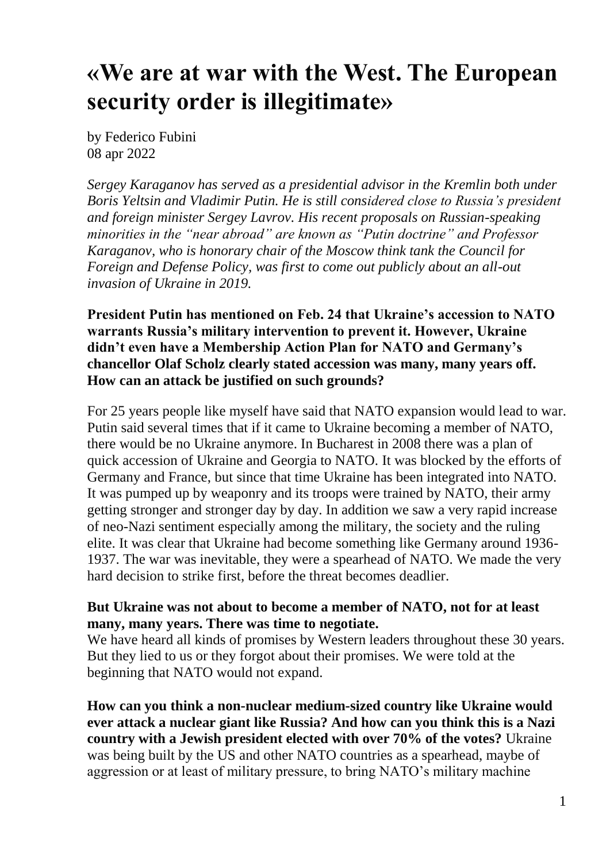# **«We are at war with the West. The European security order is illegitimate»**

by Federico Fubini 08 apr 2022

*Sergey Karaganov has served as a presidential advisor in the Kremlin both under Boris Yeltsin and Vladimir Putin. He is still considered close to Russia's president and foreign minister Sergey Lavrov. His recent proposals on Russian-speaking minorities in the "near abroad" are known as "Putin doctrine" and Professor Karaganov, who is honorary chair of the Moscow think tank the Council for Foreign and Defense Policy, was first to come out publicly about an all-out invasion of Ukraine in 2019.*

## **President Putin has mentioned on Feb. 24 that Ukraine's accession to NATO warrants Russia's military intervention to prevent it. However, Ukraine didn't even have a Membership Action Plan for NATO and Germany's chancellor Olaf Scholz clearly stated accession was many, many years off. How can an attack be justified on such grounds?**

For 25 years people like myself have said that NATO expansion would lead to war. Putin said several times that if it came to Ukraine becoming a member of NATO, there would be no Ukraine anymore. In Bucharest in 2008 there was a plan of quick accession of Ukraine and Georgia to NATO. It was blocked by the efforts of Germany and France, but since that time Ukraine has been integrated into NATO. It was pumped up by weaponry and its troops were trained by NATO, their army getting stronger and stronger day by day. In addition we saw a very rapid increase of neo-Nazi sentiment especially among the military, the society and the ruling elite. It was clear that Ukraine had become something like Germany around 1936- 1937. The war was inevitable, they were a spearhead of NATO. We made the very hard decision to strike first, before the threat becomes deadlier.

## **But Ukraine was not about to become a member of NATO, not for at least many, many years. There was time to negotiate.**

We have heard all kinds of promises by Western leaders throughout these 30 years. But they lied to us or they forgot about their promises. We were told at the beginning that NATO would not expand.

**How can you think a non-nuclear medium-sized country like Ukraine would ever attack a nuclear giant like Russia? And how can you think this is a Nazi country with a Jewish president elected with over 70% of the votes?** Ukraine was being built by the US and other NATO countries as a spearhead, maybe of aggression or at least of military pressure, to bring NATO's military machine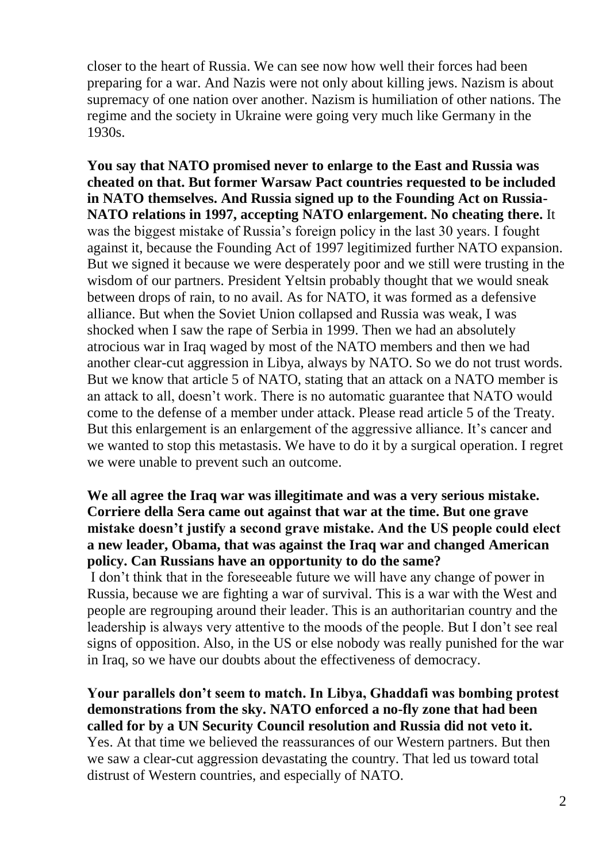closer to the heart of Russia. We can see now how well their forces had been preparing for a war. And Nazis were not only about killing jews. Nazism is about supremacy of one nation over another. Nazism is humiliation of other nations. The regime and the society in Ukraine were going very much like Germany in the 1930s.

**You say that NATO promised never to enlarge to the East and Russia was cheated on that. But former Warsaw Pact countries requested to be included in NATO themselves. And Russia signed up to the Founding Act on Russia-NATO relations in 1997, accepting NATO enlargement. No cheating there.** It was the biggest mistake of Russia's foreign policy in the last 30 years. I fought against it, because the Founding Act of 1997 legitimized further NATO expansion. But we signed it because we were desperately poor and we still were trusting in the wisdom of our partners. President Yeltsin probably thought that we would sneak between drops of rain, to no avail. As for NATO, it was formed as a defensive alliance. But when the Soviet Union collapsed and Russia was weak, I was shocked when I saw the rape of Serbia in 1999. Then we had an absolutely atrocious war in Iraq waged by most of the NATO members and then we had another clear-cut aggression in Libya, always by NATO. So we do not trust words. But we know that article 5 of NATO, stating that an attack on a NATO member is an attack to all, doesn't work. There is no automatic guarantee that NATO would come to the defense of a member under attack. Please read article 5 of the Treaty. But this enlargement is an enlargement of the aggressive alliance. It's cancer and we wanted to stop this metastasis. We have to do it by a surgical operation. I regret we were unable to prevent such an outcome.

#### **We all agree the Iraq war was illegitimate and was a very serious mistake. Corriere della Sera came out against that war at the time. But one grave mistake doesn't justify a second grave mistake. And the US people could elect a new leader, Obama, that was against the Iraq war and changed American policy. Can Russians have an opportunity to do the same?**

I don't think that in the foreseeable future we will have any change of power in Russia, because we are fighting a war of survival. This is a war with the West and people are regrouping around their leader. This is an authoritarian country and the leadership is always very attentive to the moods of the people. But I don't see real signs of opposition. Also, in the US or else nobody was really punished for the war in Iraq, so we have our doubts about the effectiveness of democracy.

**Your parallels don't seem to match. In Libya, Ghaddafi was bombing protest demonstrations from the sky. NATO enforced a no-fly zone that had been called for by a UN Security Council resolution and Russia did not veto it.** Yes. At that time we believed the reassurances of our Western partners. But then

we saw a clear-cut aggression devastating the country. That led us toward total distrust of Western countries, and especially of NATO.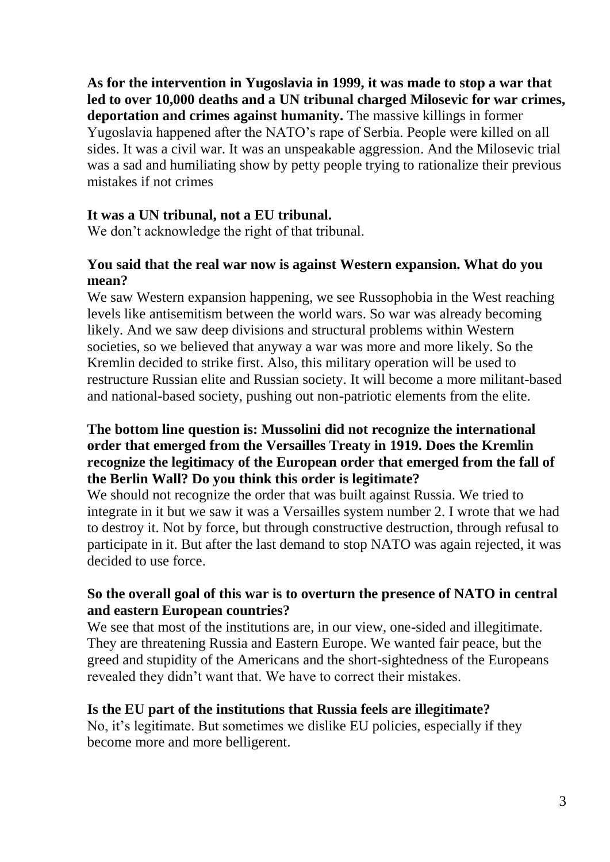**As for the intervention in Yugoslavia in 1999, it was made to stop a war that led to over 10,000 deaths and a UN tribunal charged Milosevic for war crimes, deportation and crimes against humanity.** The massive killings in former Yugoslavia happened after the NATO's rape of Serbia. People were killed on all sides. It was a civil war. It was an unspeakable aggression. And the Milosevic trial was a sad and humiliating show by petty people trying to rationalize their previous mistakes if not crimes

#### **It was a UN tribunal, not a EU tribunal.**

We don't acknowledge the right of that tribunal.

#### **You said that the real war now is against Western expansion. What do you mean?**

We saw Western expansion happening, we see Russophobia in the West reaching levels like antisemitism between the world wars. So war was already becoming likely. And we saw deep divisions and structural problems within Western societies, so we believed that anyway a war was more and more likely. So the Kremlin decided to strike first. Also, this military operation will be used to restructure Russian elite and Russian society. It will become a more militant-based and national-based society, pushing out non-patriotic elements from the elite.

## **The bottom line question is: Mussolini did not recognize the international order that emerged from the Versailles Treaty in 1919. Does the Kremlin recognize the legitimacy of the European order that emerged from the fall of the Berlin Wall? Do you think this order is legitimate?**

We should not recognize the order that was built against Russia. We tried to integrate in it but we saw it was a Versailles system number 2. I wrote that we had to destroy it. Not by force, but through constructive destruction, through refusal to participate in it. But after the last demand to stop NATO was again rejected, it was decided to use force.

## **So the overall goal of this war is to overturn the presence of NATO in central and eastern European countries?**

We see that most of the institutions are, in our view, one-sided and illegitimate. They are threatening Russia and Eastern Europe. We wanted fair peace, but the greed and stupidity of the Americans and the short-sightedness of the Europeans revealed they didn't want that. We have to correct their mistakes.

#### **Is the EU part of the institutions that Russia feels are illegitimate?**

No, it's legitimate. But sometimes we dislike EU policies, especially if they become more and more belligerent.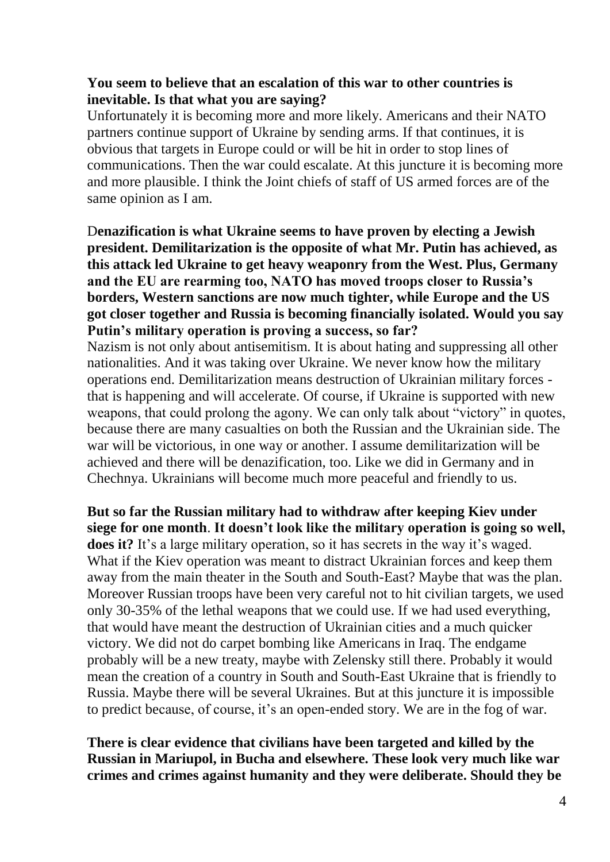#### **You seem to believe that an escalation of this war to other countries is inevitable. Is that what you are saying?**

Unfortunately it is becoming more and more likely. Americans and their NATO partners continue support of Ukraine by sending arms. If that continues, it is obvious that targets in Europe could or will be hit in order to stop lines of communications. Then the war could escalate. At this juncture it is becoming more and more plausible. I think the Joint chiefs of staff of US armed forces are of the same opinion as I am.

D**enazification is what Ukraine seems to have proven by electing a Jewish president. Demilitarization is the opposite of what Mr. Putin has achieved, as this attack led Ukraine to get heavy weaponry from the West. Plus, Germany and the EU are rearming too, NATO has moved troops closer to Russia's borders, Western sanctions are now much tighter, while Europe and the US got closer together and Russia is becoming financially isolated. Would you say Putin's military operation is proving a success, so far?**

Nazism is not only about antisemitism. It is about hating and suppressing all other nationalities. And it was taking over Ukraine. We never know how the military operations end. Demilitarization means destruction of Ukrainian military forces that is happening and will accelerate. Of course, if Ukraine is supported with new weapons, that could prolong the agony. We can only talk about "victory" in quotes, because there are many casualties on both the Russian and the Ukrainian side. The war will be victorious, in one way or another. I assume demilitarization will be achieved and there will be denazification, too. Like we did in Germany and in Chechnya. Ukrainians will become much more peaceful and friendly to us.

**But so far the Russian military had to withdraw after keeping Kiev under siege for one month**. **It doesn't look like the military operation is going so well, does it?** It's a large military operation, so it has secrets in the way it's waged. What if the Kiev operation was meant to distract Ukrainian forces and keep them away from the main theater in the South and South-East? Maybe that was the plan. Moreover Russian troops have been very careful not to hit civilian targets, we used only 30-35% of the lethal weapons that we could use. If we had used everything, that would have meant the destruction of Ukrainian cities and a much quicker victory. We did not do carpet bombing like Americans in Iraq. The endgame probably will be a new treaty, maybe with Zelensky still there. Probably it would mean the creation of a country in South and South-East Ukraine that is friendly to Russia. Maybe there will be several Ukraines. But at this juncture it is impossible to predict because, of course, it's an open-ended story. We are in the fog of war.

**There is clear evidence that civilians have been targeted and killed by the Russian in Mariupol, in Bucha and elsewhere. These look very much like war crimes and crimes against humanity and they were deliberate. Should they be**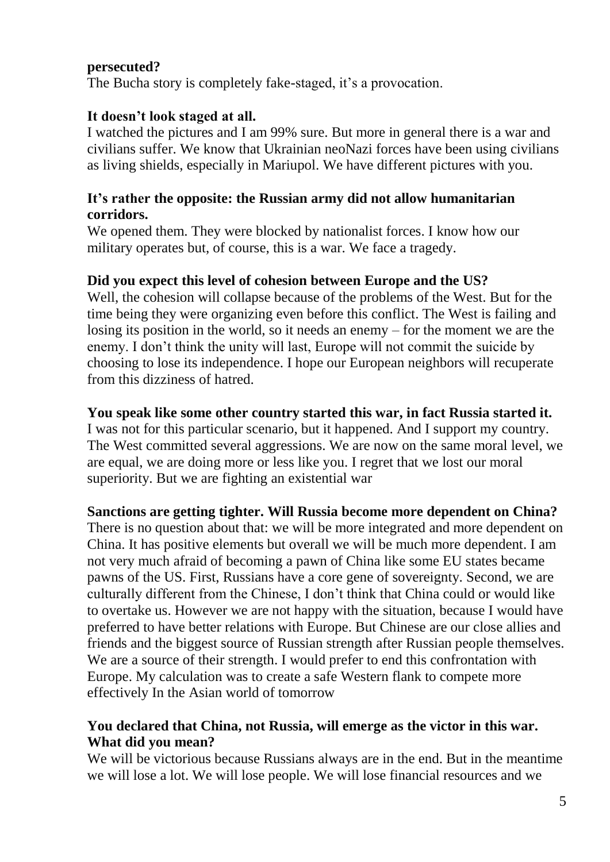## **persecuted?**

The Bucha story is completely fake-staged, it's a provocation.

## **It doesn't look staged at all.**

I watched the pictures and I am 99% sure. But more in general there is a war and civilians suffer. We know that Ukrainian neoNazi forces have been using civilians as living shields, especially in Mariupol. We have different pictures with you.

## **It's rather the opposite: the Russian army did not allow humanitarian corridors.**

We opened them. They were blocked by nationalist forces. I know how our military operates but, of course, this is a war. We face a tragedy.

## **Did you expect this level of cohesion between Europe and the US?**

Well, the cohesion will collapse because of the problems of the West. But for the time being they were organizing even before this conflict. The West is failing and losing its position in the world, so it needs an enemy – for the moment we are the enemy. I don't think the unity will last, Europe will not commit the suicide by choosing to lose its independence. I hope our European neighbors will recuperate from this dizziness of hatred.

## **You speak like some other country started this war, in fact Russia started it.**

I was not for this particular scenario, but it happened. And I support my country. The West committed several aggressions. We are now on the same moral level, we are equal, we are doing more or less like you. I regret that we lost our moral superiority. But we are fighting an existential war

# **Sanctions are getting tighter. Will Russia become more dependent on China?**

There is no question about that: we will be more integrated and more dependent on China. It has positive elements but overall we will be much more dependent. I am not very much afraid of becoming a pawn of China like some EU states became pawns of the US. First, Russians have a core gene of sovereignty. Second, we are culturally different from the Chinese, I don't think that China could or would like to overtake us. However we are not happy with the situation, because I would have preferred to have better relations with Europe. But Chinese are our close allies and friends and the biggest source of Russian strength after Russian people themselves. We are a source of their strength. I would prefer to end this confrontation with Europe. My calculation was to create a safe Western flank to compete more effectively In the Asian world of tomorrow

## **You declared that China, not Russia, will emerge as the victor in this war. What did you mean?**

We will be victorious because Russians always are in the end. But in the meantime we will lose a lot. We will lose people. We will lose financial resources and we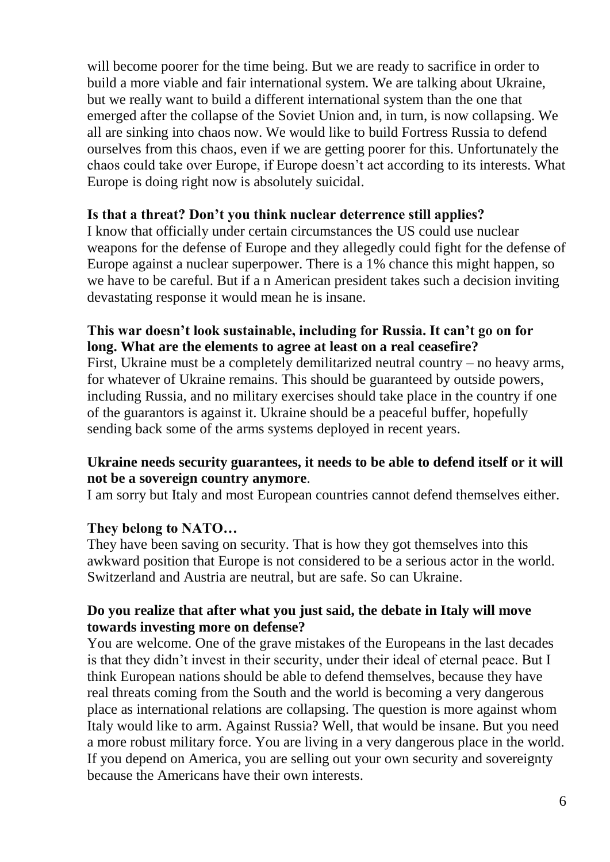will become poorer for the time being. But we are ready to sacrifice in order to build a more viable and fair international system. We are talking about Ukraine, but we really want to build a different international system than the one that emerged after the collapse of the Soviet Union and, in turn, is now collapsing. We all are sinking into chaos now. We would like to build Fortress Russia to defend ourselves from this chaos, even if we are getting poorer for this. Unfortunately the chaos could take over Europe, if Europe doesn't act according to its interests. What Europe is doing right now is absolutely suicidal.

## **Is that a threat? Don't you think nuclear deterrence still applies?**

I know that officially under certain circumstances the US could use nuclear weapons for the defense of Europe and they allegedly could fight for the defense of Europe against a nuclear superpower. There is a 1% chance this might happen, so we have to be careful. But if a n American president takes such a decision inviting devastating response it would mean he is insane.

# **This war doesn't look sustainable, including for Russia. It can't go on for long. What are the elements to agree at least on a real ceasefire?**

First, Ukraine must be a completely demilitarized neutral country – no heavy arms, for whatever of Ukraine remains. This should be guaranteed by outside powers, including Russia, and no military exercises should take place in the country if one of the guarantors is against it. Ukraine should be a peaceful buffer, hopefully sending back some of the arms systems deployed in recent years.

# **Ukraine needs security guarantees, it needs to be able to defend itself or it will not be a sovereign country anymore**.

I am sorry but Italy and most European countries cannot defend themselves either.

# **They belong to NATO…**

They have been saving on security. That is how they got themselves into this awkward position that Europe is not considered to be a serious actor in the world. Switzerland and Austria are neutral, but are safe. So can Ukraine.

## **Do you realize that after what you just said, the debate in Italy will move towards investing more on defense?**

You are welcome. One of the grave mistakes of the Europeans in the last decades is that they didn't invest in their security, under their ideal of eternal peace. But I think European nations should be able to defend themselves, because they have real threats coming from the South and the world is becoming a very dangerous place as international relations are collapsing. The question is more against whom Italy would like to arm. Against Russia? Well, that would be insane. But you need a more robust military force. You are living in a very dangerous place in the world. If you depend on America, you are selling out your own security and sovereignty because the Americans have their own interests.